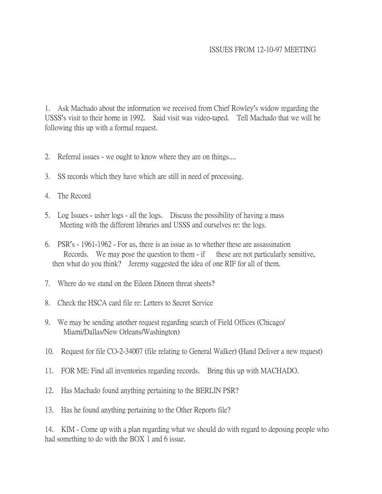## ISSUES FROM 12-10-97 MEETING

1. Ask Machado about the information we received from Chief Rowley's widow regarding the USSS's visit to their home in 1992. Said visit was video-taped. Tell Machado that we will be following this up with a formal request.

- 2. Referral issues we ought to know where they are on things....
- 3. SS records which they have which are still in need of processing.
- 4. The Record
- 5. Log Issues usher logs all the logs. Discuss the possibility of having a mass Meeting with the different libraries and USSS and ourselves re: the logs.
- 6. PSR's 1961-1962 For us, there is an issue as to whether these are assassination Records. We may pose the question to them  $-$  if these are not particularly sensitive, then what do you think? Jeremy suggested the idea of one RIF for all of them.
- 7. Where do we stand on the Eileen Dineen threat sheets?
- 8. Check the HSCA card file re: Letters to Secret Service
- 9. We may be sending another request regarding search of Field Offices (Chicago/ Miami/Dallas/New Orleans/Washington)
- 10. Request for file CO-2-34007 (file relating to General Walker) (Hand Deliver a new request)
- 11. FOR ME: Find all inventories regarding records. Bring this up with MACHADO.
- 12. Has Machado found anything pertaining to the BERLIN PSR?
- 13. Has he found anything pertaining to the Other Reports file?

14. KIM - Come up with a plan regarding what we should do with regard to deposing people who had something to do with the BOX 1 and 6 issue.